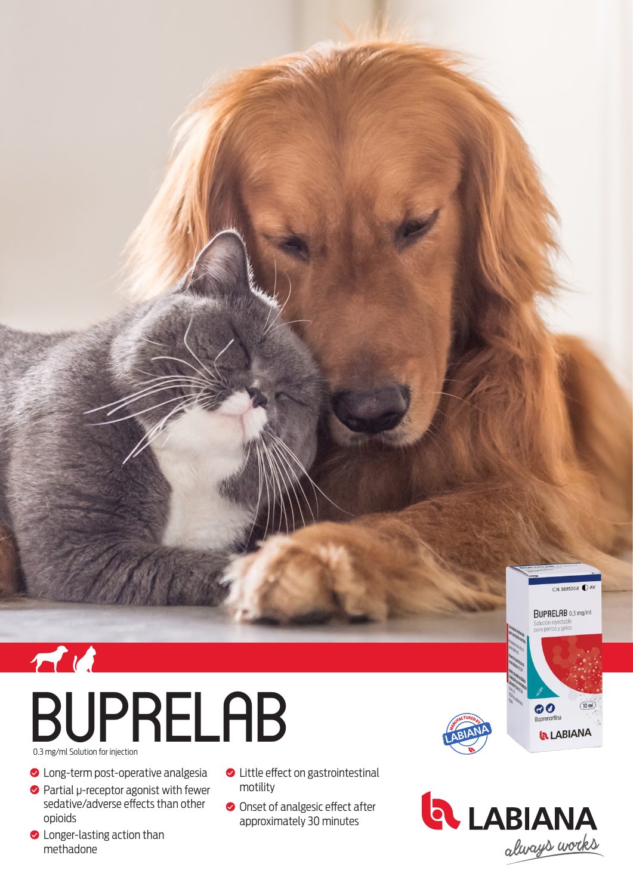

0.3 mg/ml Solution for injection

- **O** Long-term post-operative analgesia
- Partial μ-receptor agonist with fewer sedative/adverse effects than other opioids
- **C** Longer-lasting action than methadone
- **◆** Little effect on gastrointestinal motility
- Onset of analgesic effect after approximately 30 minutes





 $C.N. 589520.8$ 

 $\overline{10 \text{ ml}}$ 

**BUPRELAB** 0,3 mg/ml

Buprenorfina

**LABIANA**